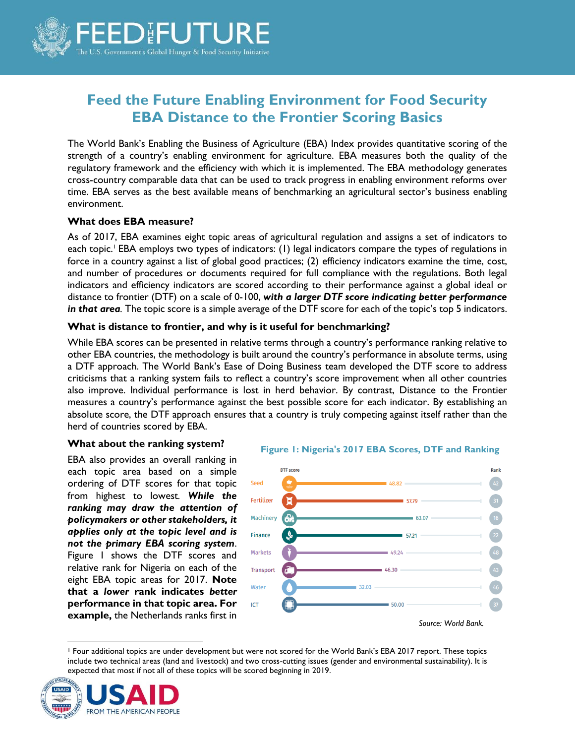

# **Feed the Future Enabling Environment for Food Security EBA Distance to the Frontier Scoring Basics**

The World Bank's Enabling the Business of Agriculture (EBA) Index provides quantitative scoring of the strength of a country's enabling environment for agriculture. EBA measures both the quality of the regulatory framework and the efficiency with which it is implemented. The EBA methodology generates cross-country comparable data that can be used to track progress in enabling environment reforms over time. EBA serves as the best available means of benchmarking an agricultural sector's business enabling environment.

#### **What does EBA measure?**

As of 2017, EBA examines eight topic areas of agricultural regulation and assigns a set of indicators to each topic.<sup>1</sup> EBA employs two types of indicators: (1) legal indicators compare the types of regulations in force in a country against a list of global good practices; (2) efficiency indicators examine the time, cost, and number of procedures or documents required for full compliance with the regulations. Both legal indicators and efficiency indicators are scored according to their performance against a global ideal or distance to frontier (DTF) on a scale of 0-100, *with a larger DTF score indicating better performance in that area.* The topic score is a simple average of the DTF score for each of the topic's top 5 indicators.

# **What is distance to frontier, and why is it useful for benchmarking?**

While EBA scores can be presented in relative terms through a country's performance ranking relative to other EBA countries, the methodology is built around the country's performance in absolute terms, using a DTF approach. The World Bank's Ease of Doing Business team developed the DTF score to address criticisms that a ranking system fails to reflect a country's score improvement when all other countries also improve. Individual performance is lost in herd behavior. By contrast, Distance to the Frontier measures a country's performance against the best possible score for each indicator. By establishing an absolute score, the DTF approach ensures that a country is truly competing against itself rather than the herd of countries scored by EBA.

#### **What about the ranking system?**

EBA also provides an overall ranking in each topic area based on a simple ordering of DTF scores for that topic from highest to lowest*. While the ranking may draw the attention of policymakers or other stakeholders, it applies only at the topic level and is not the primary EBA scoring system*. Figure 1 shows the DTF scores and relative rank for Nigeria on each of the eight EBA topic areas for 2017. **Note that a** *lower* **rank indicates** *better* **performance in that topic area. For example,** the Netherlands ranks first in





<sup>1</sup> Four additional topics are under development but were not scored for the World Bank's EBA 2017 report. These topics include two technical areas (land and livestock) and two cross-cutting issues (gender and environmental sustainability). It is expected that most if not all of these topics will be scored beginning in 2019.<br> **EXPLED**